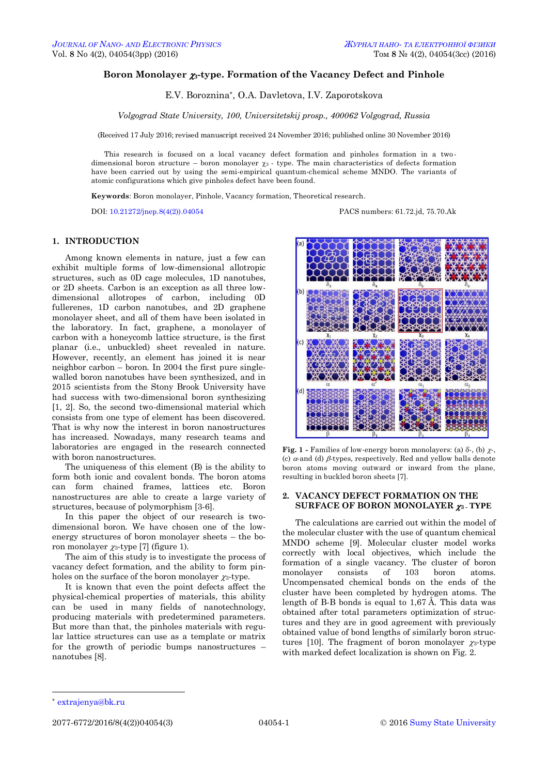# **Boron Monolayer 3-type. Formation of the Vacancy Defect and Pinhole**

E.V. Boroznina\*, O.A. Davletova, I.V. Zaporotskova

*Volgograd State University, 100, Universitetskij prosp., 400062 Volgograd, Russia*

(Received 17 July 2016; revised manuscript received 24 November 2016; published online 30 November 2016)

This research is focused on a local vacancy defect formation and pinholes formation in a twodimensional boron structure – boron monolayer  $\chi_3$  - type. The main characteristics of defects formation have been carried out by using the semi-empirical quantum-chemical scheme MNDO. The variants of atomic configurations which give pinholes defect have been found.

**Keywords**: Boron monolayer, Pinhole, Vacancy formation, Theoretical research.

DOI: [10.21272/jnep.8\(4\(2\)\).04054](http://dx.doi.org/10.21272/jnep.8(4(2)).04054) PACS numbers: 61.72.jd, 75.70.Ak

## **1. INTRODUCTION**

Аmong known elements in nature, just a few can exhibit multiple forms of low-dimensional allotropic structures, such as 0D cage molecules, 1D nanotubes, or 2D sheets. Carbon is an exception as all three lowdimensional allotropes of carbon, including 0D fullerenes, 1D carbon nanotubes, and 2D graphene monolayer sheet, and all of them have been isolated in the laboratory. In fact, graphene, a monolayer of carbon with a honeycomb lattice structure, is the first planar (i.e., unbuckled) sheet revealed in nature. However, recently, an element has joined it is near neighbor carbon – boron. In 2004 the first pure singlewalled boron nanotubes have been synthesized, and in 2015 scientists from the Stony Brook University have had success with two-dimensional boron synthesizing [1, 2]. So, the second two-dimensional material which consists from one type of element has been discovered. That is why now the interest in boron nanostructures has increased. Nowadays, many research teams and laboratories are engaged in the research connected with boron nanostructures.

The uniqueness of this element (B) is the ability to form both ionic and covalent bonds. The boron atoms can form chained frames, lattices etc. Boron nanostructures are able to create a large variety of structures, because of polymorphism [3-6].

In this paper the object of our research is twodimensional boron. We have chosen one of the lowenergy structures of boron monolayer sheets – the boron monolayer  $\chi_3$ -type [7] (figure 1).

The aim of this study is to investigate the process of vacancy defect formation, and the ability to form pinholes on the surface of the boron monolayer  $\chi_3$ -type.

It is known that even the point defects affect the physical-chemical properties of materials, this ability can be used in many fields of nanotechnology, producing materials with predetermined parameters. But more than that, the pinholes materials with regular lattice structures can use as a template or matrix for the growth of periodic bumps nanostructures – nanotubes [8].



**Fig. 1** - Families of low-energy boron monolayers: (a)  $\delta$ -, (b)  $\gamma$ -. (c)  $\alpha$  and (d)  $\beta$ -types, respectively. Red and yellow balls denote boron atoms moving outward or inward from the plane, resulting in buckled boron sheets [7].

## **2. VACANCY DEFECT FORMATION ON THE SURFACE OF BORON MONOLAYER <sup>3</sup> - TYPE**

The calculations are carried out within the model of the molecular cluster with the use of quantum chemical MNDO scheme [9]. Molecular cluster model works correctly with local objectives, which include the formation of a single vacancy. The cluster of boron monolayer consists of 103 boron atoms. Uncompensated chemical bonds on the ends of the cluster have been completed by hydrogen atoms. The length of B-B bonds is equal to 1,67 Å. This data was obtained after total parameters optimization of structures and they are in good agreement with previously obtained value of bond lengths of similarly boron structures [10]. The fragment of boron monolayer  $\gamma_3$ -type with marked defect localization is shown on Fig. 2.

1

<span id="page-0-3"></span><span id="page-0-2"></span><span id="page-0-1"></span><span id="page-0-0"></span>

<sup>\*</sup> [extrajenya@bk.ru](mailto:lyutyy@oeph.sumdu.edu.ua)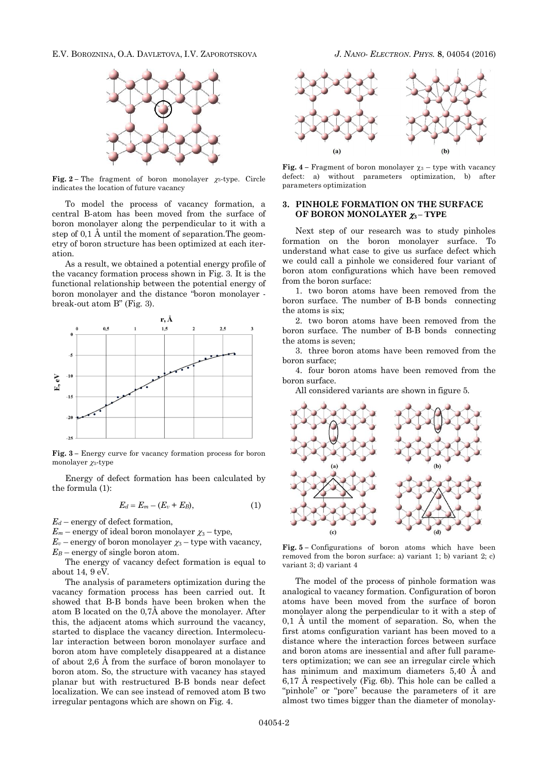E.V. BOROZNINA, O.A. DAVLETOVA, I.V. ZAPOROTSKOVA *J. NANO- ELECTRON. PHYS.* **[8](#page-0-2)**, [04054](#page-0-2) [\(2016\)](#page-0-2)



**Fig.** 2 – The fragment of boron monolayer  $\chi_3$ -type. Circle indicates the location of future vacancy

To model the process of vacancy formation, a central B-atom has been moved from the surface of boron monolayer along the perpendicular to it with a step of 0,1 Å until the moment of separation.The geometry of boron structure has been optimized at each iteration.

As a result, we obtained a potential energy profile of the vacancy formation process shown in Fig. 3. It is the functional relationship between the potential energy of boron monolayer and the distance "boron monolayer break-out atom B" (Fig. 3).



**Fig. 3 –** Energy curve for vacancy formation process for boron monolayer  $\chi_3$ -type

Energy of defect formation has been calculated by the formula (1):

$$
E_d = E_m - (E_v + E_B), \tag{1}
$$

*Е<sup>d</sup>* – energy of defect formation,

 $E_m$  – energy of ideal boron monolayer  $\chi_3$  – type,

 $E_v$  – energy of boron monolayer  $\chi_3$  – type with vacancy,  $E_B$  – energy of single boron atom.

The energy of vacancy defect formation is equal to about 14, 9 eV.

The analysis of parameters optimization during the vacancy formation process has been carried out. It showed that B-B bonds have been broken when the atom B located on the 0,7Å above the monolayer. After this, the adjacent atoms which surround the vacancy, started to displace the vacancy direction. Intermolecular interaction between boron monolayer surface and boron atom have completely disappeared at a distance of about 2,6 Å from the surface of boron monolayer to boron atom. So, the structure with vacancy has stayed planar but with restructured B-B bonds near defect localization. We can see instead of removed atom B two irregular pentagons which are shown on Fig. 4.



**Fig. 4** – Fragment of boron monolayer  $\chi_3$  – type with vacancy defect: а) without parameters optimization, b) after parameters optimization

### **3. PINHOLE FORMATION ON THE SURFACE OF BORON MONOLAYER <sup>3</sup> – TYPE**

Next step of our research was to study pinholes formation on the boron monolayer surface. To understand what case to give us surface defect which we could call a pinhole we considered four variant of boron atom configurations which have been removed from the boron surface:

1. two boron atoms have been removed from the boron surface. The number of B-B bonds connecting the atoms is six;

2. two boron atoms have been removed from the boron surface. The number of B-B bonds connecting the atoms is seven;

3. three boron atoms have been removed from the boron surface;

4. four boron atoms have been removed from the boron surface.

All considered variants are shown in figure 5.



**Fig. 5 –** Configurations of boron atoms which have been removed from the boron surface: a) variant 1; b) variant 2; c) variant 3; d) variant 4

The model of the process of pinhole formation was analogical to vacancy formation. Configuration of boron atoms have been moved from the surface of boron monolayer along the perpendicular to it with a step of  $0,1$  Å until the moment of separation. So, when the first atoms configuration variant has been moved to a distance where the interaction forces between surface and boron atoms are inessential and after full parameters optimization; we can see an irregular circle which has minimum and maximum diameters 5,40 Å and 6,17 Å respectively (Fig. 6b). This hole can be called a "pinhole" or "pore" because the parameters of it are almost two times bigger than the diameter of monolay-